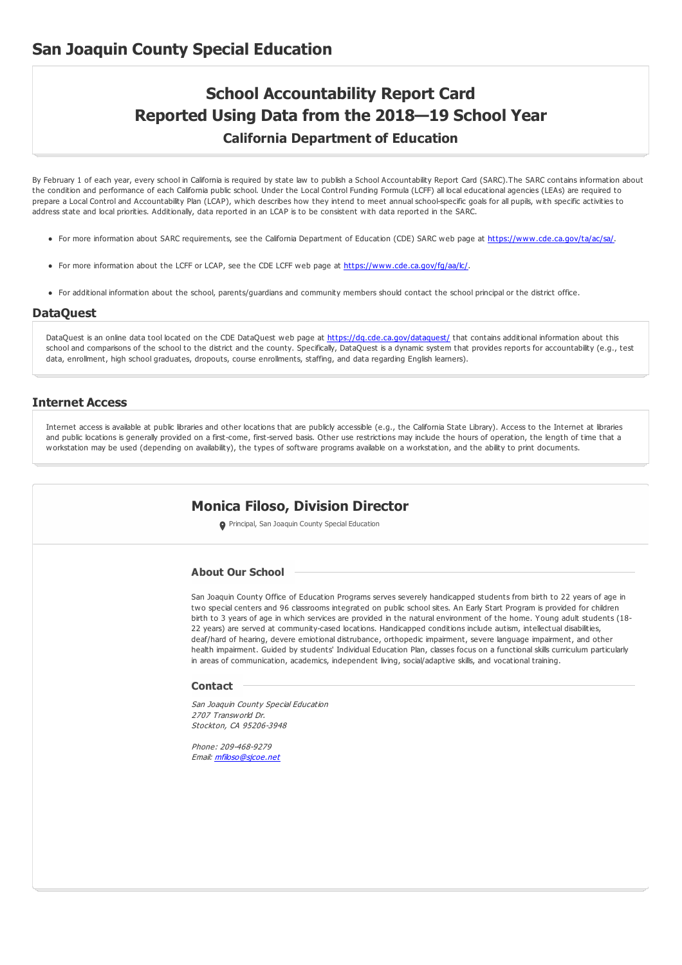# **School Accountability Report Card Reported Using Data from the 2018—19 School Year California Department of Education**

By February 1 of each year, every school in California is required by state law to publish a School Accountability Report Card (SARC).The SARC contains information about the condition and performance of each California public school. Under the Local Control Funding Formula (LCFF) all local educational agencies (LEAs) are required to prepare a Local Control and Accountability Plan (LCAP), which describes how they intend to meet annual school-specific goals for all pupils, with specific activities to address state and local priorities. Additionally, data reported in an LCAP is to be consistent with data reported in the SARC.

- For more information about SARC requirements, see the California Department of Education (CDE) SARC web page at <https://www.cde.ca.gov/ta/ac/sa/>.
- For more information about the LCFF or LCAP, see the CDE LCFF web page at <https://www.cde.ca.gov/fg/aa/lc/>.
- For additional information about the school, parents/guardians and community members should contact the school principal or the district office.

#### **DataQuest**

DataQuest is an online data tool located on the CDE DataQuest web page at <https://dq.cde.ca.gov/dataquest/> that contains additional information about this school and comparisons of the school to the district and the county. Specifically, DataQuest is a dynamic system that provides reports for accountability (e.g., test data, enrollment, high school graduates, dropouts, course enrollments, staffing, and data regarding English learners).

#### **Internet Access**

Internet access is available at public libraries and other locations that are publicly accessible (e.g., the California State Library). Access to the Internet at libraries and public locations is generally provided on a first-come, first-served basis. Other use restrictions may include the hours of operation, the length of time that a workstation may be used (depending on availability), the types of software programs available on a workstation, and the ability to print documents.

## **Monica Filoso, Division Director**

**O** Principal, San Joaquin County Special Education

#### **About Our School**

San Joaquin County Office of Education Programs serves severely handicapped students from birth to 22 years of age in two special centers and 96 classrooms integrated on public school sites. An Early Start Program is provided for children birth to 3 years of age in which services are provided in the natural environment of the home. Young adult students (18-22 years) are served at community-cased locations. Handicapped conditions include autism, intellectual disabilities, deaf/hard of hearing, devere emiotional distrubance, orthopedic impairment, severe language impairment, and other health impairment. Guided by students' Individual Education Plan, classes focus on a functional skills curriculum particularly in areas of communication, academics, independent living, social/adaptive skills, and vocational training.

#### **Contact**

San Joaquin County Special Education 2707 Transworld Dr. Stockton, CA 95206-3948

Phone: 209-468-9279 Email: [mfiloso@sjcoe.net](mailto:mfiloso@sjcoe.net)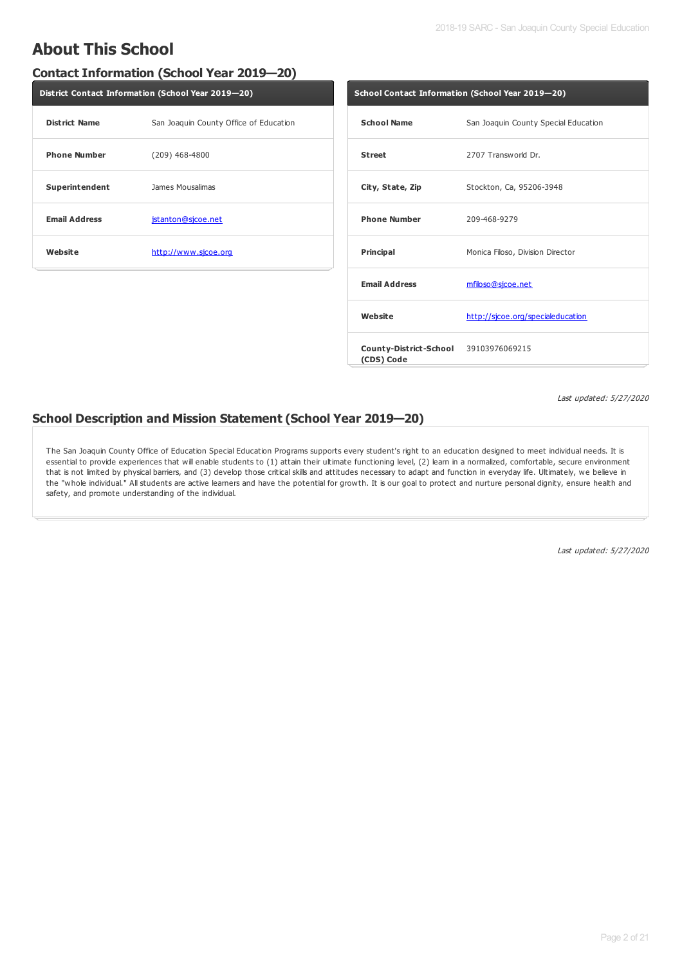# **About This School**

## **Contact Information (School Year 2019—20)**

| District Contact Information (School Year 2019-20) |                                        |  |  |  |  |
|----------------------------------------------------|----------------------------------------|--|--|--|--|
| <b>District Name</b>                               | San Joaquin County Office of Education |  |  |  |  |
| <b>Phone Number</b>                                | $(209)$ 468-4800                       |  |  |  |  |
| Superintendent                                     | James Mousalimas                       |  |  |  |  |
| <b>Email Address</b>                               | jstanton@sjcoe.net                     |  |  |  |  |
| Website                                            | http://www.sjcoe.org                   |  |  |  |  |

| School Contact Information (School Year 2019-20)    |                                      |  |  |  |  |
|-----------------------------------------------------|--------------------------------------|--|--|--|--|
| <b>School Name</b>                                  | San Joaquin County Special Education |  |  |  |  |
| <b>Street</b>                                       | 2707 Transworld Dr.                  |  |  |  |  |
| City, State, Zip                                    | Stockton, Ca, 95206-3948             |  |  |  |  |
| <b>Phone Number</b>                                 | 209-468-9279                         |  |  |  |  |
| <b>Principal</b>                                    | Monica Filoso, Division Director     |  |  |  |  |
| <b>Email Address</b>                                | mfiloso@sjcoe.net                    |  |  |  |  |
| Website                                             | http://sjcoe.org/specialeducation    |  |  |  |  |
| County-District-School 39103976069215<br>(CDS) Code |                                      |  |  |  |  |

Last updated: 5/27/2020

## **School Description and Mission Statement (School Year 2019—20)**

The San Joaquin County Office of Education Special Education Programs supports every student's right to an education designed to meet individual needs. It is essential to provide experiences that will enable students to (1) attain their ultimate functioning level, (2) learn in a normalized, comfortable, secure environment that is not limited by physical barriers, and (3) develop those critical skills and attitudes necessary to adapt and function in everyday life. Ultimately, we believe in the "whole individual." All students are active learners and have the potential for growth. It is our goal to protect and nurture personal dignity, ensure health and safety, and promote understanding of the individual.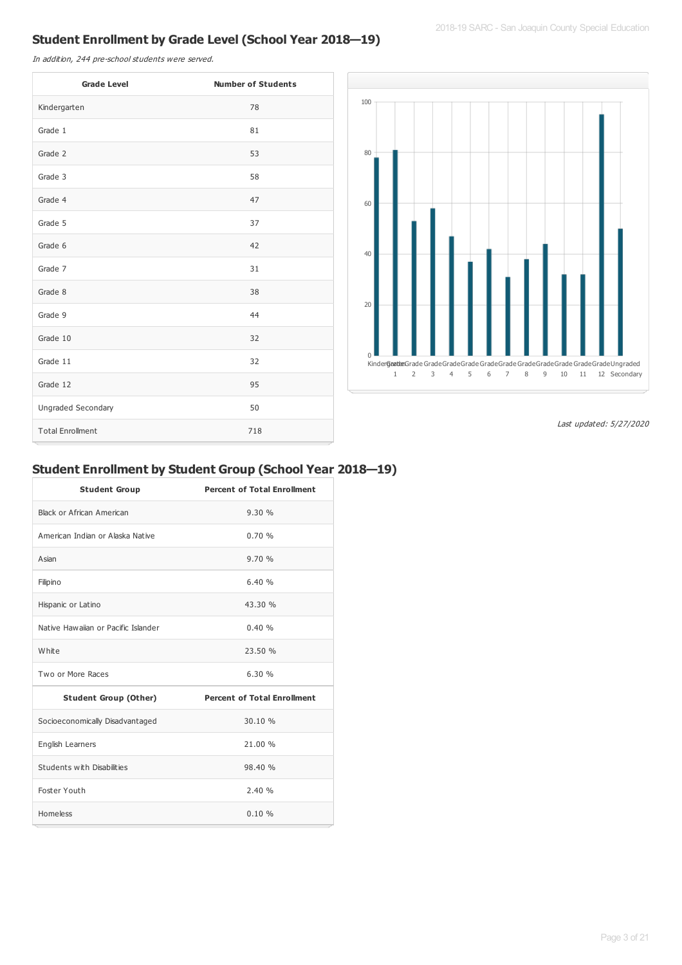# **Student Enrollment by Grade Level (School Year 2018—19)**

In addition, 244 pre-school students were served.

| <b>Grade Level</b>      | <b>Number of Students</b> |
|-------------------------|---------------------------|
| Kindergarten            | 78                        |
| Grade 1                 | 81                        |
| Grade 2                 | 53                        |
| Grade 3                 | 58                        |
| Grade 4                 | 47                        |
| Grade 5                 | 37                        |
| Grade 6                 | 42                        |
| Grade 7                 | 31                        |
| Grade 8                 | 38                        |
| Grade 9                 | 44                        |
| Grade 10                | 32                        |
| Grade 11                | 32                        |
| Grade 12                | 95                        |
| Ungraded Secondary      | 50                        |
| <b>Total Enrollment</b> | 718                       |



Last updated: 5/27/2020

### **Student Enrollment by Student Group (School Year 2018—19)**

| <b>Student Group</b>                | <b>Percent of Total Enrollment</b> |
|-------------------------------------|------------------------------------|
| Black or African American           | 9.30%                              |
| American Indian or Alaska Native    | 0.70%                              |
| Asian                               | 9.70%                              |
| Filipino                            | 6.40%                              |
| Hispanic or Latino                  | 43.30 %                            |
| Native Hawaiian or Pacific Islander | 0.40%                              |
| White                               | 23.50 %                            |
| Two or More Races                   | 6.30%                              |
| <b>Student Group (Other)</b>        | <b>Percent of Total Enrollment</b> |
| Socioeconomically Disadvantaged     | 30.10 %                            |
| English Learners                    | 21.00 %                            |
| Students with Disabilities          | 98.40 %                            |
| Foster Youth                        | 2.40%                              |
| Homeless                            | 0.10%                              |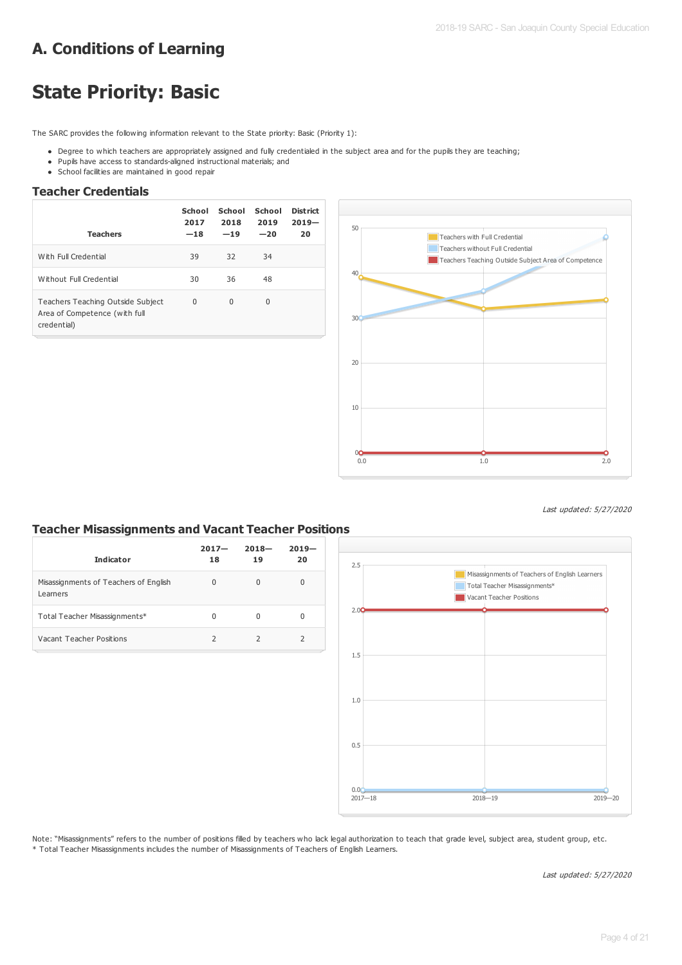# **A. Conditions of Learning**

# **State Priority: Basic**

The SARC provides the following information relevant to the State priority: Basic (Priority 1):

- Degree to which teachers are appropriately assigned and fully credentialed in the subject area and for the pupils they are teaching;
- Pupils have access to standards-aligned instructional materials; and
- School facilities are maintained in good repair

#### **Teacher Credentials**

| <b>Teachers</b>                                                                   | School<br>2017<br>$-18$ | School<br>2018<br>$-19$ | School<br>2019<br>$-20$ | District<br>$2019-$<br>20 |
|-----------------------------------------------------------------------------------|-------------------------|-------------------------|-------------------------|---------------------------|
| With Full Credential                                                              | 39                      | 32                      | 34                      |                           |
| Without Full Credential                                                           | 30                      | 36                      | 48                      |                           |
| Teachers Teaching Outside Subject<br>Area of Competence (with full<br>credential) | $\Omega$                | $\Omega$                | $\Omega$                |                           |



Last updated: 5/27/2020

#### **Teacher Misassignments and Vacant Teacher Positions**

| <b>Indicator</b>                                  | $2017 -$<br>18 | $2018 -$<br>19 | $2019-$<br>20 |
|---------------------------------------------------|----------------|----------------|---------------|
| Misassignments of Teachers of English<br>Learners | $\Omega$       | 0              | 0             |
| Total Teacher Misassignments*                     | 0              | U              | 0             |
| Vacant Teacher Positions                          | 2              | 2              | $\mathcal{P}$ |



Note: "Misassignments" refers to the number of positions filled by teachers who lack legal authorization to teach that grade level, subject area, student group, etc. \* Total Teacher Misassignments includes the number of Misassignments of Teachers of English Learners.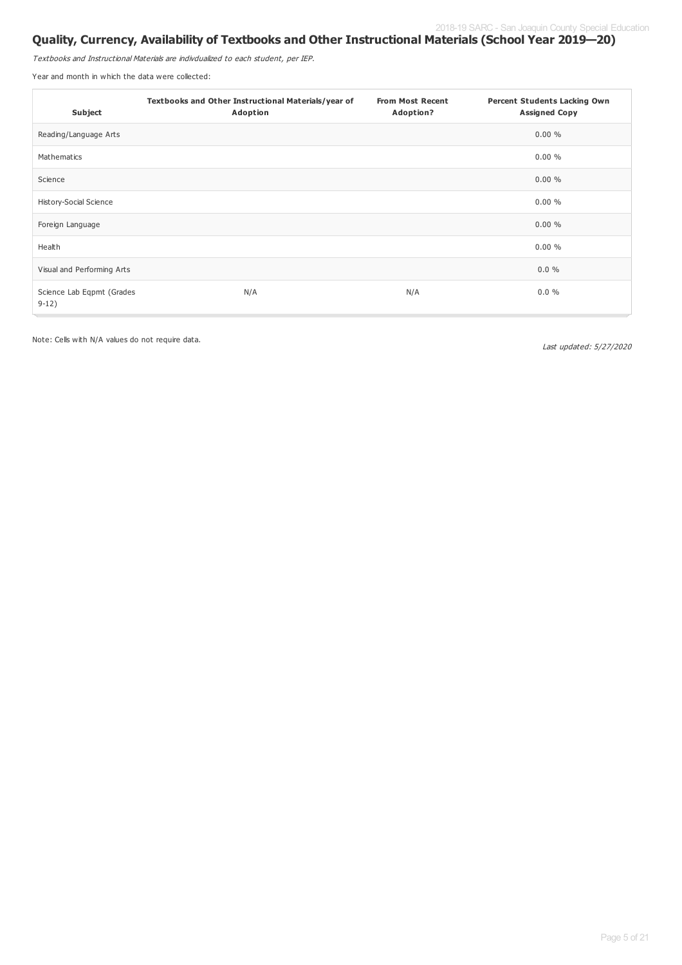## **Quality, Currency, Availability of Textbooks and Other Instructional Materials (School Year 2019—20)**

Textbooks and Instructional Materials are indivdualized to each student, per IEP.

Year and month in which the data were collected:

| Subject                              | Textbooks and Other Instructional Materials/year of<br><b>Adoption</b> | <b>From Most Recent</b><br>Adoption? | <b>Percent Students Lacking Own</b><br><b>Assigned Copy</b> |
|--------------------------------------|------------------------------------------------------------------------|--------------------------------------|-------------------------------------------------------------|
| Reading/Language Arts                |                                                                        |                                      | $0.00 \%$                                                   |
| Mathematics                          |                                                                        |                                      | 0.00%                                                       |
| Science                              |                                                                        |                                      | $0.00 \%$                                                   |
| History-Social Science               |                                                                        |                                      | $0.00 \%$                                                   |
| Foreign Language                     |                                                                        |                                      | $0.00 \%$                                                   |
| Health                               |                                                                        |                                      | $0.00 \%$                                                   |
| Visual and Performing Arts           |                                                                        |                                      | $0.0 \%$                                                    |
| Science Lab Eqpmt (Grades<br>$9-12)$ | N/A                                                                    | N/A                                  | $0.0 \%$                                                    |

Note: Cells with N/A values do not require data.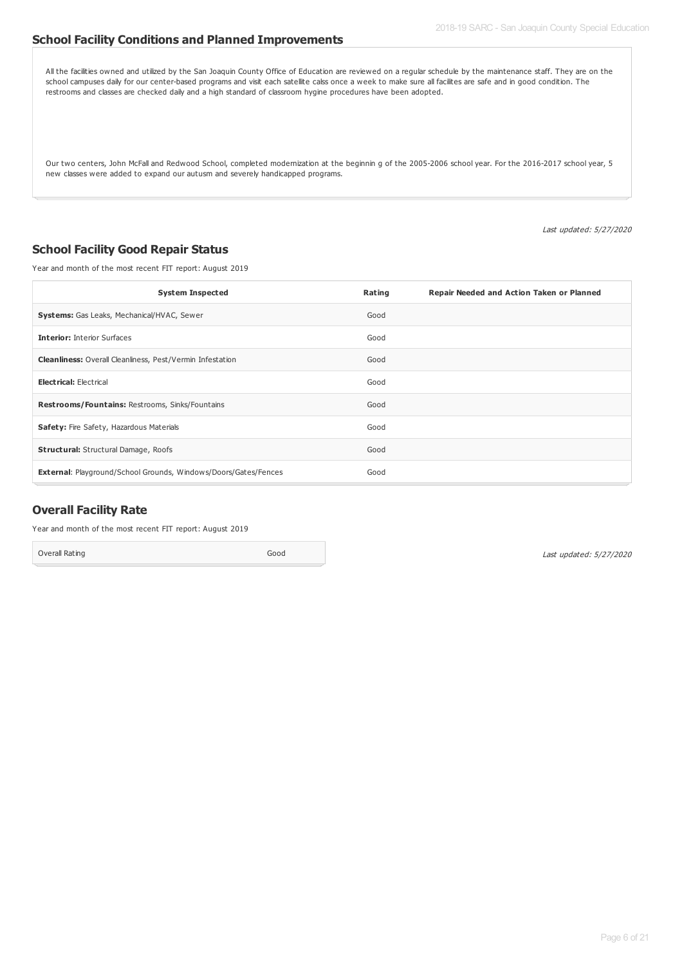#### **School Facility Conditions and Planned Improvements**

All the facilities owned and utilized by the San Joaquin County Office of Education are reviewed on a regular schedule by the maintenance staff. They are on the school campuses daily for our center-based programs and visit each satellite calss once a week to make sure all facilites are safe and in good condition. The restrooms and classes are checked daily and a high standard of classroom hygine procedures have been adopted.

Our two centers, John McFall and Redwood School, completed modernization at the beginnin g of the 2005-2006 school year. For the 2016-2017 school year, 5 new classes were added to expand our autusm and severely handicapped programs.

Last updated: 5/27/2020

### **School Facility Good Repair Status**

Year and month of the most recent FIT report: August 2019

| <b>System Inspected</b>                                                | Rating | Repair Needed and Action Taken or Planned |
|------------------------------------------------------------------------|--------|-------------------------------------------|
| <b>Systems:</b> Gas Leaks, Mechanical/HVAC, Sewer                      | Good   |                                           |
| <b>Interior: Interior Surfaces</b>                                     | Good   |                                           |
| <b>Cleanliness:</b> Overall Cleanliness, Pest/Vermin Infestation       | Good   |                                           |
| <b>Electrical: Electrical</b>                                          | Good   |                                           |
| Restrooms/Fountains: Restrooms, Sinks/Fountains                        | Good   |                                           |
| Safety: Fire Safety, Hazardous Materials                               | Good   |                                           |
| <b>Structural:</b> Structural Damage, Roofs                            | Good   |                                           |
| <b>External: Playground/School Grounds, Windows/Doors/Gates/Fences</b> | Good   |                                           |

### **Overall Facility Rate**

Year and month of the most recent FIT report: August 2019

Overall Rating Good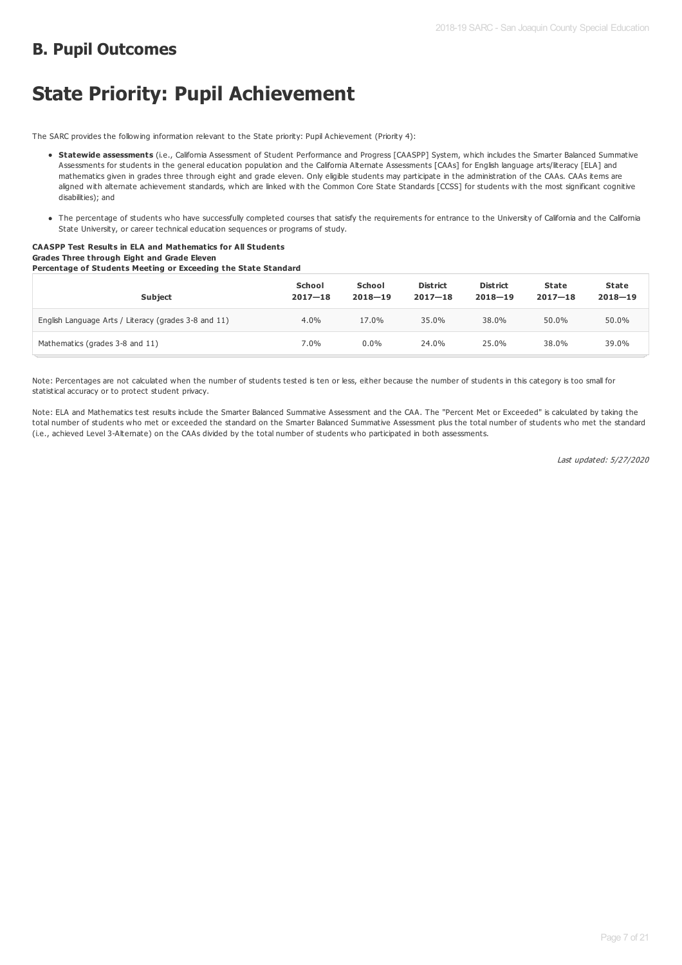# **B. Pupil Outcomes**

# **State Priority: Pupil Achievement**

The SARC provides the following information relevant to the State priority: Pupil Achievement (Priority 4):

- **Statewide assessments** (i.e., California Assessment of Student Performance and Progress [CAASPP] System, which includes the Smarter Balanced Summative Assessments for students in the general education population and the California Alternate Assessments [CAAs] for English language arts/literacy [ELA] and mathematics given in grades three through eight and grade eleven. Only eligible students may participate in the administration of the CAAs. CAAs items are aligned with alternate achievement standards, which are linked with the Common Core State Standards [CCSS] for students with the most significant cognitive disabilities); and
- The percentage of students who have successfully completed courses that satisfy the requirements for entrance to the University of California and the California State University, or career technical education sequences or programs of study.

#### **CAASPP Test Results in ELA and Mathematics for All Students Grades Three through Eight and Grade Eleven Percentage of Students Meeting or Exceeding the State Standard**

| <b>Subject</b>                                       | School<br>$2017 - 18$ | <b>School</b><br>$2018 - 19$ | <b>District</b><br>$2017 - 18$ | <b>District</b><br>$2018 - 19$ | State<br>$2017 - 18$ | State<br>$2018 - 19$ |
|------------------------------------------------------|-----------------------|------------------------------|--------------------------------|--------------------------------|----------------------|----------------------|
| English Language Arts / Literacy (grades 3-8 and 11) | 4.0%                  | 17.0%                        | 35.0%                          | 38.0%                          | 50.0%                | 50.0%                |
| Mathematics (grades 3-8 and 11)                      | $7.0\%$               | $0.0\%$                      | 24.0%                          | 25.0%                          | 38.0%                | 39.0%                |

Note: Percentages are not calculated when the number of students tested is ten or less, either because the number of students in this category is too small for statistical accuracy or to protect student privacy.

Note: ELA and Mathematics test results include the Smarter Balanced Summative Assessment and the CAA. The "Percent Met or Exceeded" is calculated by taking the total number of students who met or exceeded the standard on the Smarter Balanced Summative Assessment plus the total number of students who met the standard (i.e., achieved Level 3-Alternate) on the CAAs divided by the total number of students who participated in both assessments.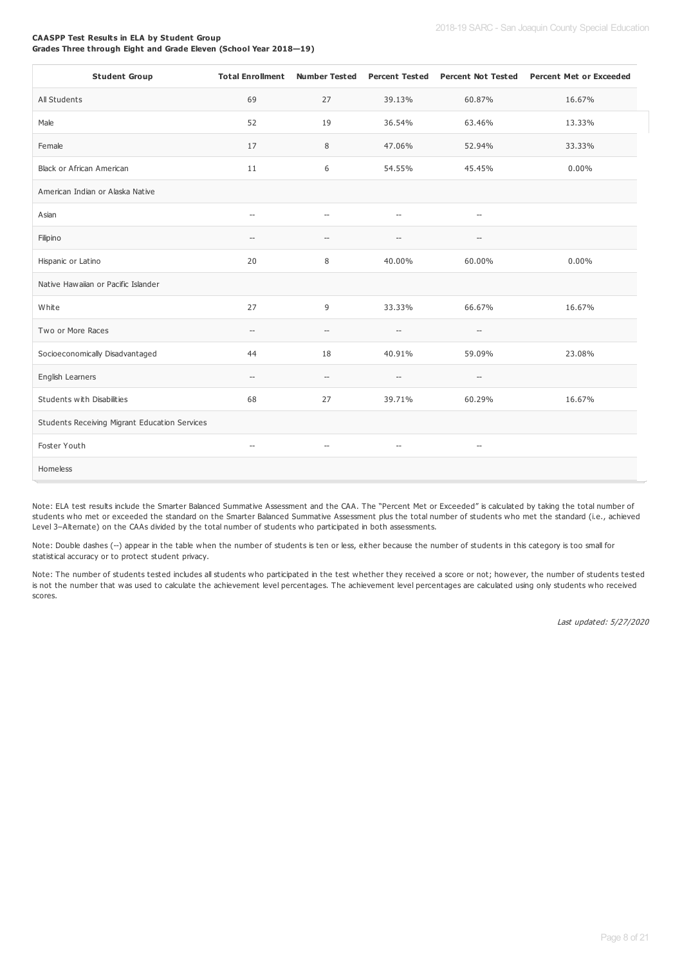#### **CAASPP Test Results in ELA by Student Group Grades Three through Eight and Grade Eleven (School Year 2018—19)**

| <b>Student Group</b>                          | <b>Total Enrollment</b>            |                                                     |                                    |                                                     | Number Tested Percent Tested Percent Not Tested Percent Met or Exceeded |
|-----------------------------------------------|------------------------------------|-----------------------------------------------------|------------------------------------|-----------------------------------------------------|-------------------------------------------------------------------------|
| All Students                                  | 69                                 | 27                                                  | 39.13%                             | 60.87%                                              | 16.67%                                                                  |
| Male                                          | 52                                 | 19                                                  | 36.54%                             | 63.46%                                              | 13.33%                                                                  |
| Female                                        | 17                                 | 8                                                   | 47.06%                             | 52.94%                                              | 33.33%                                                                  |
| Black or African American                     | 11                                 | 6                                                   | 54.55%                             | 45.45%                                              | 0.00%                                                                   |
| American Indian or Alaska Native              |                                    |                                                     |                                    |                                                     |                                                                         |
| Asian                                         | $\overline{\phantom{a}}$           | $\hspace{0.05cm} -\hspace{0.05cm} -\hspace{0.05cm}$ | $\hspace{0.05cm} \ldots$           | $\hspace{0.05cm} -\hspace{0.05cm} -\hspace{0.05cm}$ |                                                                         |
| Filipino                                      | --                                 | $\qquad \qquad -$                                   | $\overline{\phantom{a}}$           | $\overline{\phantom{a}}$                            |                                                                         |
| Hispanic or Latino                            | 20                                 | 8                                                   | 40.00%                             | 60.00%                                              | 0.00%                                                                   |
| Native Hawaiian or Pacific Islander           |                                    |                                                     |                                    |                                                     |                                                                         |
| White                                         | 27                                 | 9                                                   | 33.33%                             | 66.67%                                              | 16.67%                                                                  |
| Two or More Races                             | --                                 | $\hspace{0.05cm} -\hspace{0.05cm}$                  | $\hspace{0.05cm} -\hspace{0.05cm}$ | $\hspace{0.05cm} -\hspace{0.05cm} -\hspace{0.05cm}$ |                                                                         |
| Socioeconomically Disadvantaged               | 44                                 | 18                                                  | 40.91%                             | 59.09%                                              | 23.08%                                                                  |
| English Learners                              | $\overline{\phantom{0}}$           | $\hspace{0.05cm} -\hspace{0.05cm}$                  | $\overline{\phantom{a}}$           | $-$                                                 |                                                                         |
| Students with Disabilities                    | 68                                 | 27                                                  | 39.71%                             | 60.29%                                              | 16.67%                                                                  |
| Students Receiving Migrant Education Services |                                    |                                                     |                                    |                                                     |                                                                         |
| Foster Youth                                  | $\hspace{0.05cm} -\hspace{0.05cm}$ | $\hspace{0.05cm} -\hspace{0.05cm} -\hspace{0.05cm}$ | $\overline{\phantom{a}}$           | $\hspace{0.05cm} -\hspace{0.05cm} -\hspace{0.05cm}$ |                                                                         |
| Homeless                                      |                                    |                                                     |                                    |                                                     |                                                                         |

Note: ELA test results include the Smarter Balanced Summative Assessment and the CAA. The "Percent Met or Exceeded" is calculated by taking the total number of students who met or exceeded the standard on the Smarter Balanced Summative Assessment plus the total number of students who met the standard (i.e., achieved Level 3-Alternate) on the CAAs divided by the total number of students who participated in both assessments.

Note: Double dashes (--) appear in the table when the number of students is ten or less, either because the number of students in this category is too small for statistical accuracy or to protect student privacy.

Note: The number of students tested includes all students who participated in the test whether they received a score or not; however, the number of students tested is not the number that was used to calculate the achievement level percentages. The achievement level percentages are calculated using only students who received scores.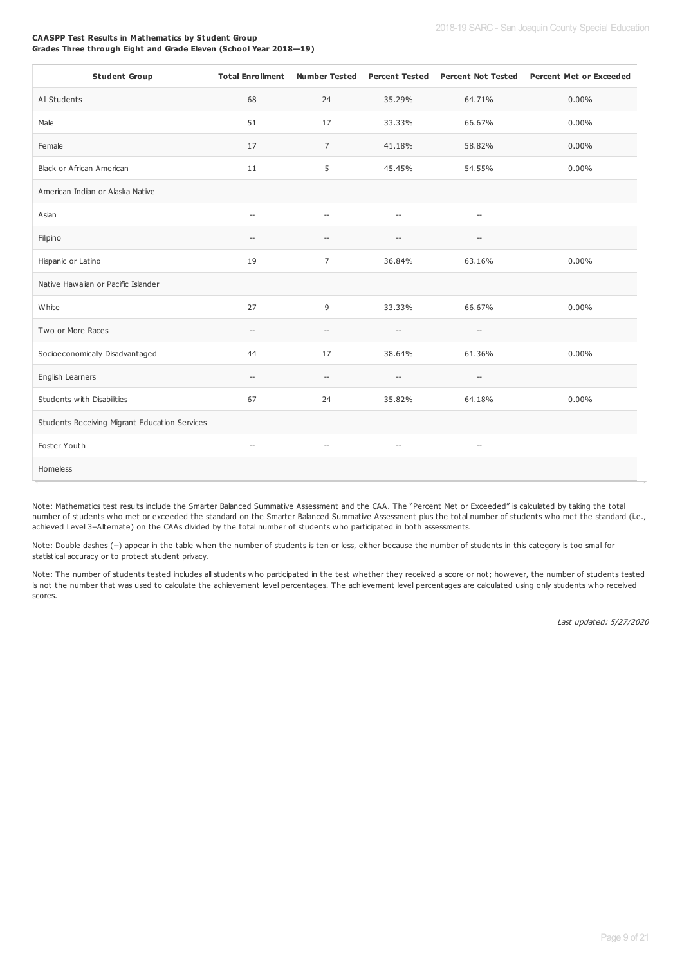#### **CAASPP Test Results in Mathematics by Student Group Grades Three through Eight and Grade Eleven (School Year 2018—19)**

| <b>Student Group</b>                          |                          |                                                     |                          |                                                     | Total Enrollment Number Tested Percent Tested Percent Not Tested Percent Met or Exceeded |
|-----------------------------------------------|--------------------------|-----------------------------------------------------|--------------------------|-----------------------------------------------------|------------------------------------------------------------------------------------------|
| All Students                                  | 68                       | 24                                                  | 35.29%                   | 64.71%                                              | 0.00%                                                                                    |
| Male                                          | 51                       | 17                                                  | 33.33%                   | 66.67%                                              | 0.00%                                                                                    |
| Female                                        | 17                       | 7                                                   | 41.18%                   | 58.82%                                              | 0.00%                                                                                    |
| Black or African American                     | 11                       | 5                                                   | 45.45%                   | 54.55%                                              | 0.00%                                                                                    |
| American Indian or Alaska Native              |                          |                                                     |                          |                                                     |                                                                                          |
| Asian                                         | $\hspace{0.05cm} -$      | $\hspace{0.05cm} -\hspace{0.05cm} -\hspace{0.05cm}$ | $\hspace{0.05cm} \ldots$ | $\hspace{0.05cm} -\hspace{0.05cm} -\hspace{0.05cm}$ |                                                                                          |
| Filipino                                      | $\hspace{0.05cm} -$      | $\qquad \qquad -$                                   | --                       | $-\!$                                               |                                                                                          |
| Hispanic or Latino                            | 19                       | $\overline{7}$                                      | 36.84%                   | 63.16%                                              | 0.00%                                                                                    |
| Native Hawaiian or Pacific Islander           |                          |                                                     |                          |                                                     |                                                                                          |
| White                                         | 27                       | 9                                                   | 33.33%                   | 66.67%                                              | 0.00%                                                                                    |
| Two or More Races                             | $\overline{\phantom{a}}$ | $\overline{\phantom{a}}$                            | $\hspace{0.05cm} \ldots$ | $\hspace{0.05cm} -\hspace{0.05cm} -\hspace{0.05cm}$ |                                                                                          |
| Socioeconomically Disadvantaged               | 44                       | 17                                                  | 38.64%                   | 61.36%                                              | 0.00%                                                                                    |
| English Learners                              | $\overline{\phantom{a}}$ | $\qquad \qquad -$                                   | $\overline{\phantom{a}}$ | $-\!$                                               |                                                                                          |
| Students with Disabilities                    | 67                       | 24                                                  | 35.82%                   | 64.18%                                              | 0.00%                                                                                    |
| Students Receiving Migrant Education Services |                          |                                                     |                          |                                                     |                                                                                          |
| Foster Youth                                  | $\overline{\phantom{a}}$ | $\overline{\phantom{a}}$                            | $\overline{\phantom{a}}$ | $\hspace{0.05cm} -\hspace{0.05cm} -\hspace{0.05cm}$ |                                                                                          |
| Homeless                                      |                          |                                                     |                          |                                                     |                                                                                          |

Note: Mathematics test results include the Smarter Balanced Summative Assessment and the CAA. The "Percent Met or Exceeded" is calculated by taking the total number of students who met or exceeded the standard on the Smarter Balanced Summative Assessment plus the total number of students who met the standard (i.e., achieved Level 3–Alternate) on the CAAs divided by the total number of students who participated in both assessments.

Note: Double dashes (--) appear in the table when the number of students is ten or less, either because the number of students in this category is too small for statistical accuracy or to protect student privacy.

Note: The number of students tested includes all students who participated in the test whether they received a score or not; however, the number of students tested is not the number that was used to calculate the achievement level percentages. The achievement level percentages are calculated using only students who received scores.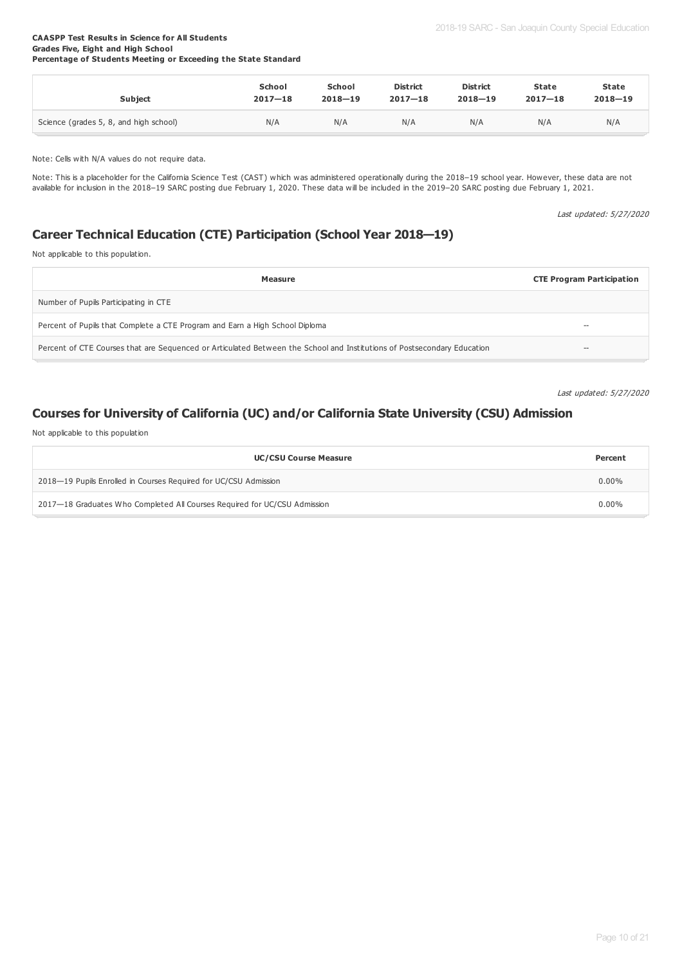#### **CAASPP Test Results in Science for All Students Grades Five, Eight and High School Percentage of Students Meeting or Exceeding the State Standard**

| <b>Subject</b>                         | School      | School      | <b>District</b> | <b>District</b> | <b>State</b> | <b>State</b> |
|----------------------------------------|-------------|-------------|-----------------|-----------------|--------------|--------------|
|                                        | $2017 - 18$ | $2018 - 19$ | $2017 - 18$     | $2018 - 19$     | $2017 - 18$  | $2018 - 19$  |
| Science (grades 5, 8, and high school) | N/A         | N/A         | N/A             | N/A             | N/A          | N/A          |

#### Note: Cells with N/A values do not require data.

Note: This is a placeholder for the California Science Test (CAST) which was administered operationally during the 2018–19 school year. However, these data are not available for inclusion in the 2018–19 SARC posting due February 1, 2020. These data will be included in the 2019–20 SARC posting due February 1, 2021.

Last updated: 5/27/2020

#### **Career Technical Education (CTE) Participation (School Year 2018—19)**

Not applicable to this population.

| Measure                                                                                                                 | <b>CTE Program Participation</b> |
|-------------------------------------------------------------------------------------------------------------------------|----------------------------------|
| Number of Pupils Participating in CTE                                                                                   |                                  |
| Percent of Pupils that Complete a CTE Program and Earn a High School Diploma                                            | $-$                              |
| Percent of CTE Courses that are Sequenced or Articulated Between the School and Institutions of Postsecondary Education | --                               |

Last updated: 5/27/2020

### **Courses for University of California (UC) and/or California State University (CSU) Admission**

Not applicable to this population

| <b>UC/CSU Course Measure</b>                                              | Percent  |
|---------------------------------------------------------------------------|----------|
| 2018–19 Pupils Enrolled in Courses Required for UC/CSU Admission          | $0.00\%$ |
| 2017-18 Graduates Who Completed All Courses Required for UC/CSU Admission | $0.00\%$ |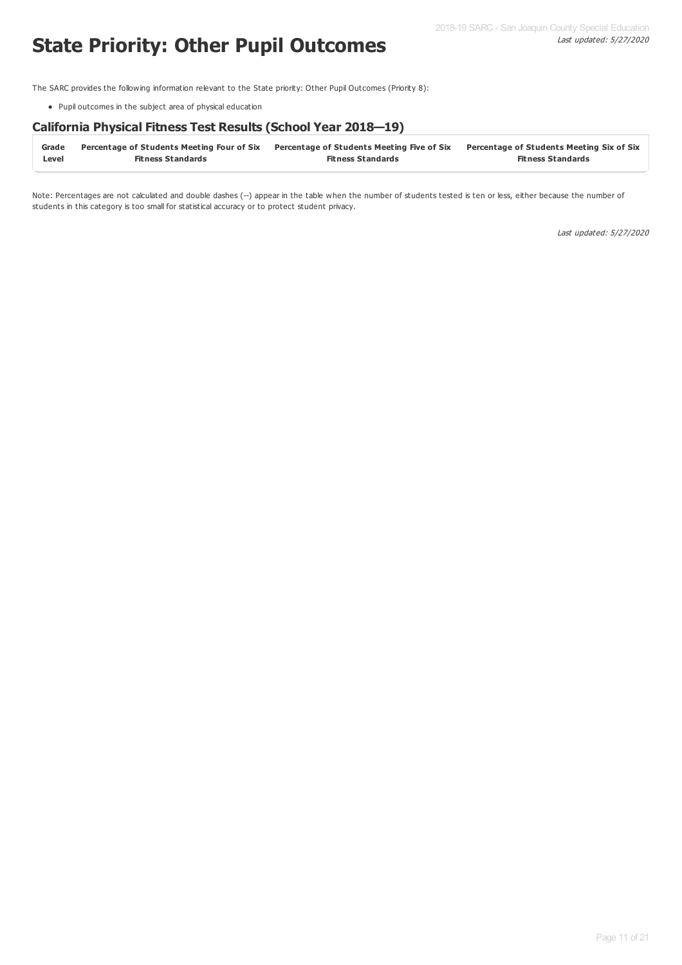Last updated: 5/27/2020 2018-19 SARC - San Joaquin County Special Education

# **State Priority: Other Pupil Outcomes**

The SARC provides the following information relevant to the State priority: Other Pupil Outcomes (Priority 8):

Pupil outcomes in the subject area of physical education

#### **California Physical Fitness Test Results (School Year 2018—19)**

| Grade | Percentage of Students Meeting Four of Six Percentage of Students Meeting Five of Six |                          | <b>Percentage of Students Meeting Six of Six</b> |
|-------|---------------------------------------------------------------------------------------|--------------------------|--------------------------------------------------|
| Level | <b>Fitness Standards</b>                                                              | <b>Fitness Standards</b> | <b>Fitness Standards</b>                         |

Note: Percentages are not calculated and double dashes (--) appear in the table when the number of students tested is ten or less, either because the number of students in this category is too small for statistical accuracy or to protect student privacy.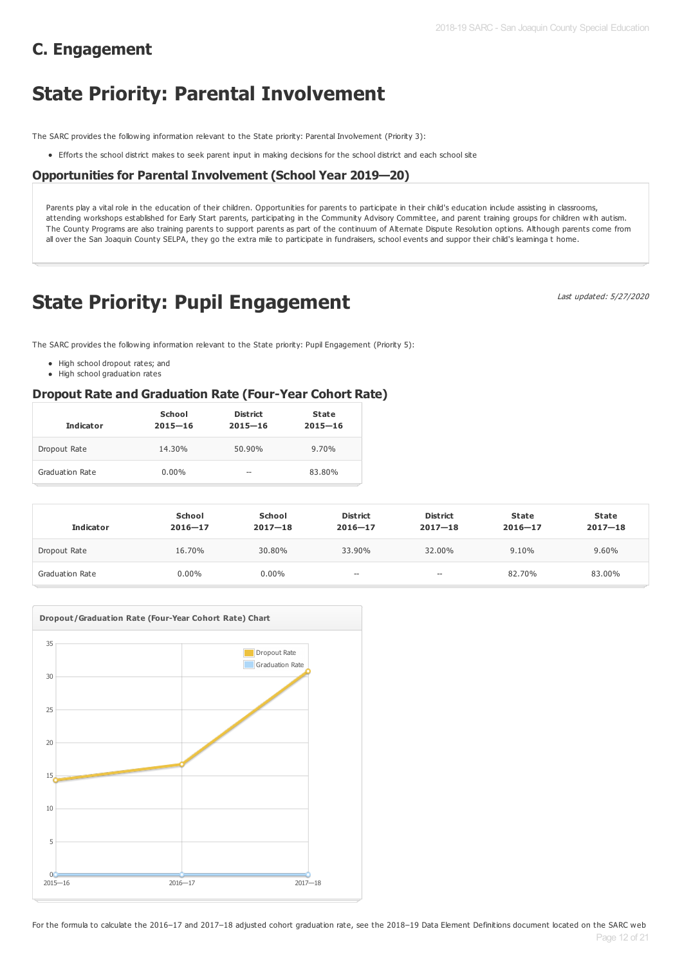# **C. Engagement**

# **State Priority: Parental Involvement**

The SARC provides the following information relevant to the State priority: Parental Involvement (Priority 3):

Efforts the school district makes to seek parent input in making decisions for the school district and each school site

#### **Opportunities for Parental Involvement (School Year 2019—20)**

Parents play a vital role in the education of their children. Opportunities for parents to participate in their child's education include assisting in classrooms, attending workshops established for Early Start parents, participating in the Community Advisory Committee, and parent training groups for children with autism. The County Programs are also training parents to support parents as part of the continuum of Alternate Dispute Resolution options. Although parents come from all over the San Joaquin County SELPA, they go the extra mile to participate in fundraisers, school events and suppor their child's learninga t home.

# **State Priority: Pupil Engagement**

Last updated: 5/27/2020

The SARC provides the following information relevant to the State priority: Pupil Engagement (Priority 5):

- High school dropout rates; and
- High school graduation rates

#### **Dropout Rate and Graduation Rate (Four-Year Cohort Rate)**

| <b>Indicator</b> | School<br>$2015 - 16$ | <b>District</b><br>$2015 - 16$ | <b>State</b><br>$2015 - 16$ |
|------------------|-----------------------|--------------------------------|-----------------------------|
| Dropout Rate     | 14.30%                | 50.90%                         | 9.70%                       |
| Graduation Rate  | $0.00\%$              | $-$                            | 83.80%                      |

| <b>Indicator</b> | School<br>$2016 - 17$ | School<br>$2017 - 18$ | <b>District</b><br>$2016 - 17$ | <b>District</b><br>$2017 - 18$ | State<br>$2016 - 17$ | <b>State</b><br>$2017 - 18$ |
|------------------|-----------------------|-----------------------|--------------------------------|--------------------------------|----------------------|-----------------------------|
| Dropout Rate     | 16.70%                | 30.80%                | 33.90%                         | 32.00%                         | 9.10%                | 9.60%                       |
| Graduation Rate  | $0.00\%$              | $0.00\%$              | $- -$                          | $- -$                          | 82.70%               | 83.00%                      |

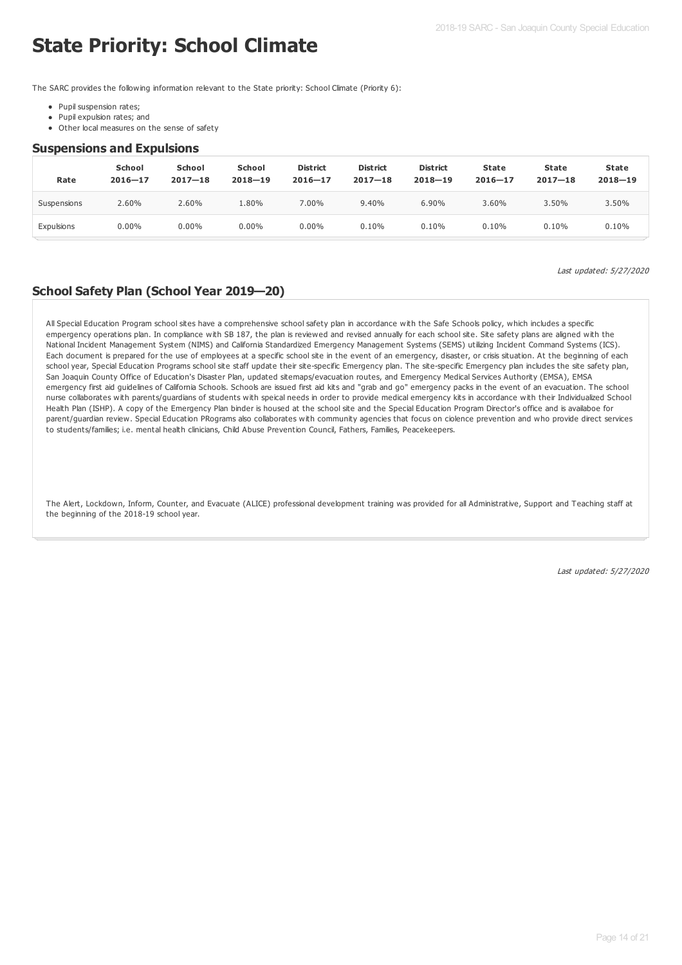# **State Priority: School Climate**

The SARC provides the following information relevant to the State priority: School Climate (Priority 6):

- Pupil suspension rates;
- Pupil expulsion rates; and
- Other local measures on the sense of safety

#### **Suspensions and Expulsions**

| Rate        | <b>School</b><br>$2016 - 17$ | School<br>$2017 - 18$ | <b>School</b><br>$2018 - 19$ | <b>District</b><br>$2016 - 17$ | <b>District</b><br>$2017 - 18$ | <b>District</b><br>$2018 - 19$ | State<br>$2016 - 17$ | State<br>$2017 - 18$ | State<br>$2018 - 19$ |
|-------------|------------------------------|-----------------------|------------------------------|--------------------------------|--------------------------------|--------------------------------|----------------------|----------------------|----------------------|
| Suspensions | 2.60%                        | 2.60%                 | 1.80%                        | 7.00%                          | 9.40%                          | 6.90%                          | 3.60%                | 3.50%                | 3.50%                |
| Expulsions  | $0.00\%$                     | $0.00\%$              | $0.00\%$                     | $0.00\%$                       | 0.10%                          | 0.10%                          | 0.10%                | 0.10%                | 0.10%                |

Last updated: 5/27/2020

#### **School Safety Plan (School Year 2019—20)**

All Special Education Program school sites have a comprehensive school safety plan in accordance with the Safe Schools policy, which includes a specific empergency operations plan. In compliance with SB 187, the plan is reviewed and revised annually for each school site. Site safety plans are aligned with the National Incident Management System (NIMS) and California Standardized Emergency Management Systems (SEMS) utilizing Incident Command Systems (ICS). Each document is prepared for the use of employees at a specific school site in the event of an emergency, disaster, or crisis situation. At the beginning of each school year, Special Education Programs school site staff update their site-specific Emergency plan. The site-specific Emergency plan includes the site safety plan, San Joaquin County Office of Education's Disaster Plan, updated sitemaps/evacuation routes, and Emergency Medical Services Authority (EMSA), EMSA emergency first aid guidelines of California Schools. Schools are issued first aid kits and "grab and go" emergency packs in the event of an evacuation. The school nurse collaborates with parents/guardians of students with speical needs in order to provide medical emergency kits in accordance with their Individualized School Health Plan (ISHP). A copy of the Emergency Plan binder is housed at the school site and the Special Education Program Director's office and is availaboe for parent/guardian review. Special Education PRograms also collaborates with community agencies that focus on ciolence prevention and who provide direct services to students/families; i.e. mental health clinicians, Child Abuse Prevention Council, Fathers, Families, Peacekeepers.

The Alert, Lockdown, Inform, Counter, and Evacuate (ALICE) professional development training was provided for all Administrative, Support and Teaching staff at the beginning of the 2018-19 school year.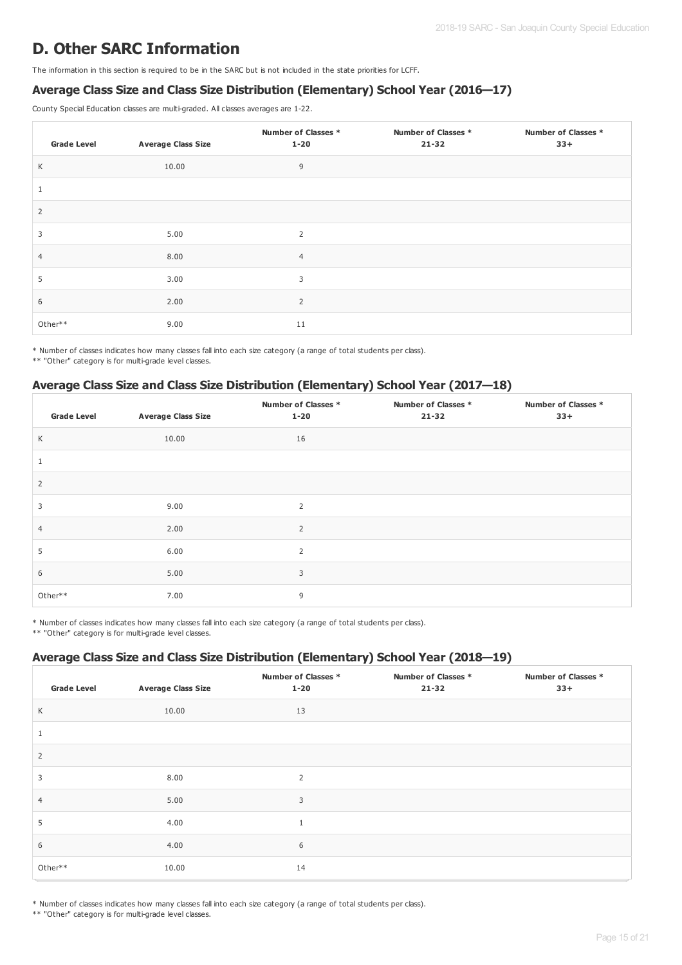## **D. Other SARC Information**

The information in this section is required to be in the SARC but is not included in the state priorities for LCFF.

### **Average Class Size and Class Size Distribution (Elementary) School Year (2016—17)**

County Special Education classes are multi-graded. All classes averages are 1-22.

| <b>Grade Level</b> | <b>Average Class Size</b> | Number of Classes *<br>$1 - 20$ | Number of Classes *<br>$21 - 32$ | Number of Classes *<br>$33+$ |
|--------------------|---------------------------|---------------------------------|----------------------------------|------------------------------|
| K                  | 10.00                     | 9                               |                                  |                              |
| $\mathbf{1}$       |                           |                                 |                                  |                              |
| $\overline{2}$     |                           |                                 |                                  |                              |
| 3                  | 5.00                      | 2                               |                                  |                              |
| $\overline{4}$     | 8.00                      | $\overline{4}$                  |                                  |                              |
| 5                  | 3.00                      | 3                               |                                  |                              |
| 6                  | 2.00                      | 2                               |                                  |                              |
| Other**            | 9.00                      | 11                              |                                  |                              |

\* Number of classes indicates how many classes fall into each size category (a range of total students per class).

\*\* "Other" category is for multi-grade level classes.

#### **Average Class Size and Class Size Distribution (Elementary) School Year (2017—18)**

| <b>Grade Level</b> | <b>Average Class Size</b> | Number of Classes *<br>$1 - 20$ | Number of Classes *<br>$21 - 32$ | <b>Number of Classes *</b><br>$33+$ |
|--------------------|---------------------------|---------------------------------|----------------------------------|-------------------------------------|
| K                  | 10.00                     | 16                              |                                  |                                     |
|                    |                           |                                 |                                  |                                     |
| 2                  |                           |                                 |                                  |                                     |
| 3                  | 9.00                      | $\overline{2}$                  |                                  |                                     |
| $\overline{4}$     | 2.00                      | $\overline{2}$                  |                                  |                                     |
| 5                  | 6.00                      | $\overline{2}$                  |                                  |                                     |
| 6                  | 5.00                      | 3                               |                                  |                                     |
| Other**            | 7.00                      | 9                               |                                  |                                     |

\* Number of classes indicates how many classes fall into each size category (a range of total students per class).

\*\* "Other" category is for multi-grade level classes.

#### **Average Class Size and Class Size Distribution (Elementary) School Year (2018—19)**

| <b>Grade Level</b> | <b>Average Class Size</b> | Number of Classes *<br>$1 - 20$ | Number of Classes *<br>$21 - 32$ | <b>Number of Classes *</b><br>$33+$ |
|--------------------|---------------------------|---------------------------------|----------------------------------|-------------------------------------|
| K                  | 10.00                     | 13                              |                                  |                                     |
|                    |                           |                                 |                                  |                                     |
| 2                  |                           |                                 |                                  |                                     |
| 3                  | 8.00                      | $\overline{2}$                  |                                  |                                     |
| $\overline{4}$     | 5.00                      | 3                               |                                  |                                     |
| 5                  | 4.00                      | $\mathbf{1}$                    |                                  |                                     |
| 6                  | 4.00                      | 6                               |                                  |                                     |
| Other**            | 10.00                     | 14                              |                                  |                                     |

\* Number of classes indicates how many classes fall into each size category (a range of total students per class).

\*\* "Other" category is for multi-grade level classes.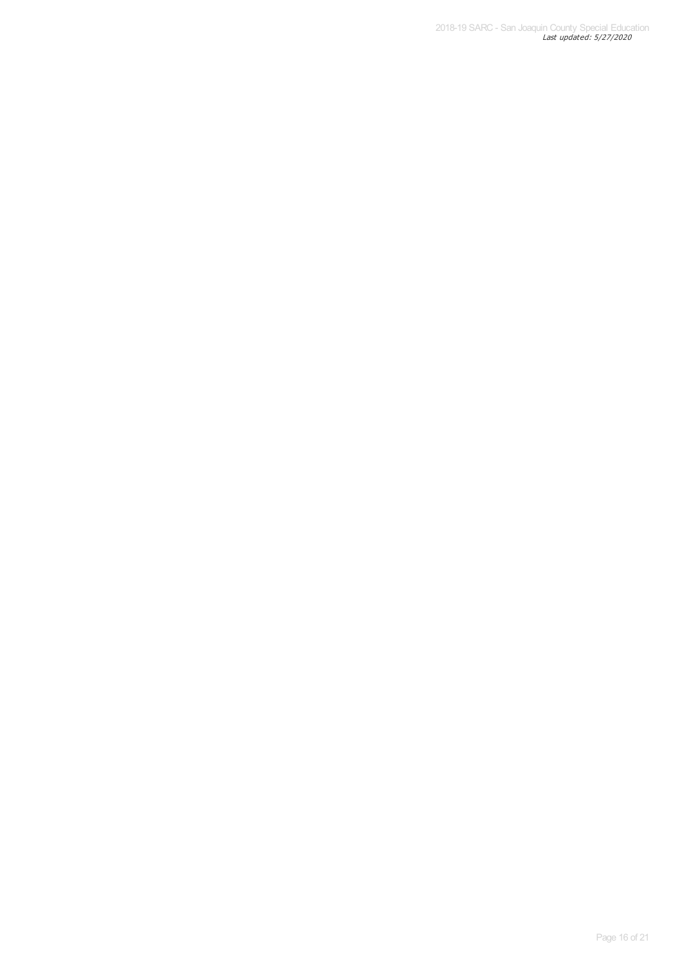2018-19 SARC - San Joaquin County Special Education<br>Last updated: 5/27/2020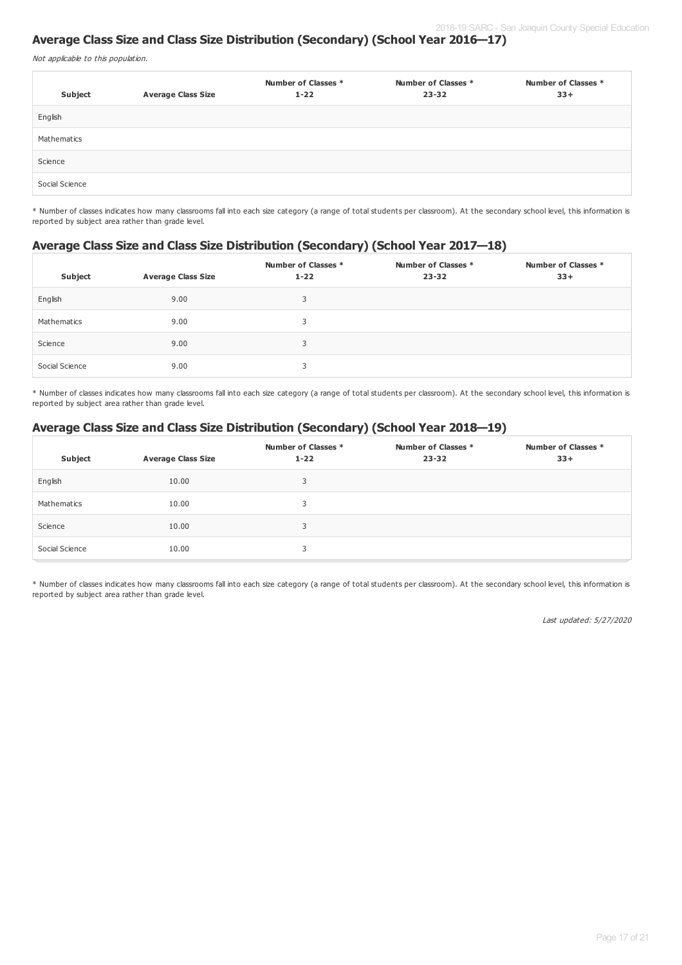## **Average Class Size and Class Size Distribution (Secondary) (School Year 2016—17)**

Not applicable to this population.

| Subject        | <b>Average Class Size</b> | Number of Classes *<br>$1 - 22$ | Number of Classes *<br>$23 - 32$ | Number of Classes *<br>$33+$ |
|----------------|---------------------------|---------------------------------|----------------------------------|------------------------------|
| English        |                           |                                 |                                  |                              |
| Mathematics    |                           |                                 |                                  |                              |
| Science        |                           |                                 |                                  |                              |
| Social Science |                           |                                 |                                  |                              |

\* Number of classes indicates how many classrooms fall into each size category (a range of total students per classroom). At the secondary school level, this information is reported by subject area rather than grade level.

#### **Average Class Size and Class Size Distribution (Secondary) (School Year 2017—18)**

| Subject        | <b>Average Class Size</b> | Number of Classes *<br>$1 - 22$ | Number of Classes *<br>$23 - 32$ | Number of Classes *<br>$33+$ |
|----------------|---------------------------|---------------------------------|----------------------------------|------------------------------|
| English        | 9.00                      | 3                               |                                  |                              |
| Mathematics    | 9.00                      | 3                               |                                  |                              |
| Science        | 9.00                      | 3                               |                                  |                              |
| Social Science | 9.00                      | 3                               |                                  |                              |

\* Number of classes indicates how many classrooms fall into each size category (a range of total students per classroom). At the secondary school level, this information is reported by subject area rather than grade level.

#### **Average Class Size and Class Size Distribution (Secondary) (School Year 2018—19)**

| Subject        | <b>Average Class Size</b> | Number of Classes *<br>$1 - 22$ | Number of Classes *<br>23-32 | Number of Classes *<br>$33+$ |
|----------------|---------------------------|---------------------------------|------------------------------|------------------------------|
| English        | 10.00                     | 3                               |                              |                              |
| Mathematics    | 10.00                     | 3                               |                              |                              |
| Science        | 10.00                     | 3                               |                              |                              |
| Social Science | 10.00                     | 3                               |                              |                              |

\* Number of classes indicates how many classrooms fall into each size category (a range of total students per classroom). At the secondary school level, this information is reported by subject area rather than grade level.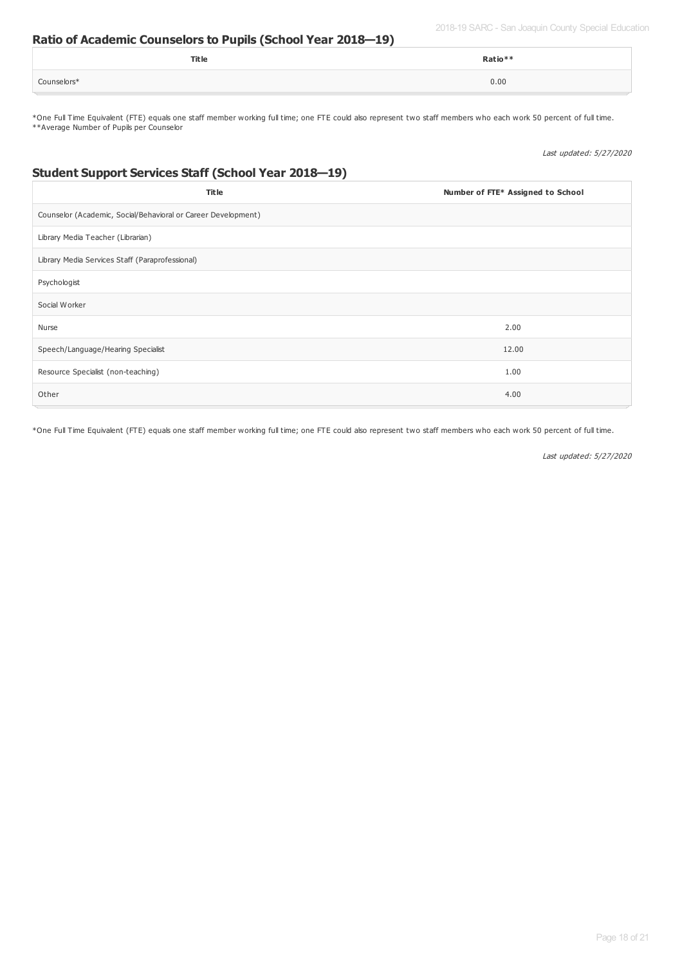2018-19 SARC - San Joaquin County Special Education

#### **Ratio of Academic Counselors to Pupils (School Year 2018—19)**

| <b>Title</b> | Ratio** |  |
|--------------|---------|--|
| Counselors*  | 0.00    |  |

\*One Full Time Equivalent (FTE) equals one staff member working full time; one FTE could also represent two staff members who each work 50 percent of full time. \*\*Average Number of Pupils per Counselor

Last updated: 5/27/2020

### **Student Support Services Staff (School Year 2018—19)**

| <b>Title</b>                                                  | Number of FTE* Assigned to School |
|---------------------------------------------------------------|-----------------------------------|
| Counselor (Academic, Social/Behavioral or Career Development) |                                   |
| Library Media Teacher (Librarian)                             |                                   |
| Library Media Services Staff (Paraprofessional)               |                                   |
| Psychologist                                                  |                                   |
| Social Worker                                                 |                                   |
| Nurse                                                         | 2.00                              |
| Speech/Language/Hearing Specialist                            | 12.00                             |
| Resource Specialist (non-teaching)                            | 1.00                              |
| Other                                                         | 4.00                              |

\*One Full Time Equivalent (FTE) equals one staff member working full time; one FTE could also represent two staff members who each work 50 percent of full time.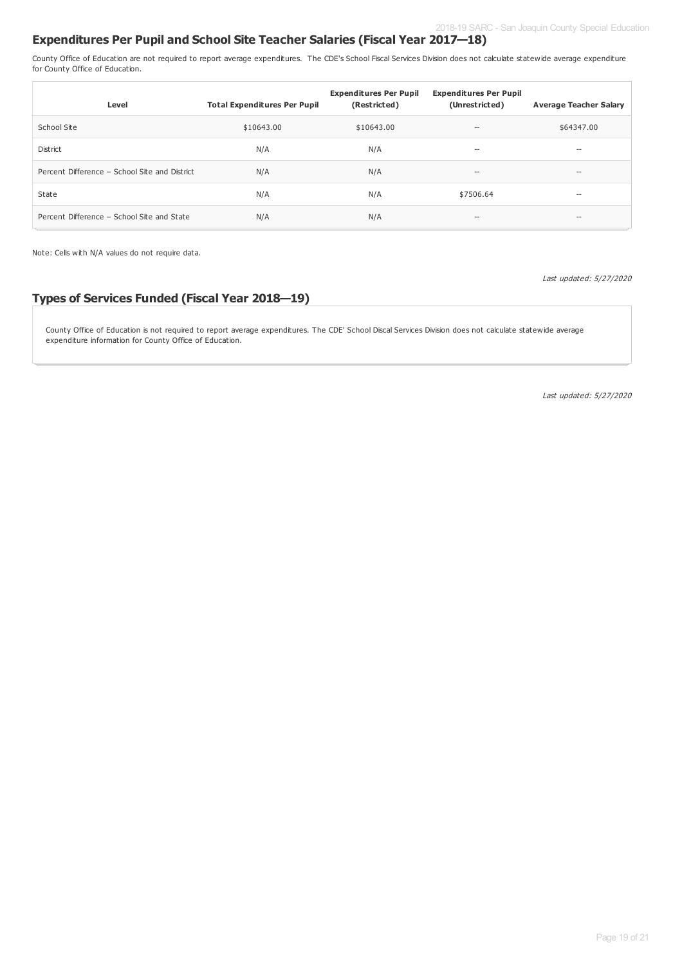### **Expenditures Per Pupil and School Site Teacher Salaries (Fiscal Year 2017—18)**

County Office of Education are not required to report average expenditures. The CDE's School Fiscal Services Division does not calculate statewide average expenditure for County Office of Education.

| Level                                         | <b>Total Expenditures Per Pupil</b> | <b>Expenditures Per Pupil</b><br>(Restricted) | <b>Expenditures Per Pupil</b><br>(Unrestricted) | <b>Average Teacher Salary</b>         |
|-----------------------------------------------|-------------------------------------|-----------------------------------------------|-------------------------------------------------|---------------------------------------|
| School Site                                   | \$10643.00                          | \$10643.00                                    | $-\,$                                           | \$64347.00                            |
| <b>District</b>                               | N/A                                 | N/A                                           | $\!-$                                           | $\hspace{0.05cm}$ – $\hspace{0.05cm}$ |
| Percent Difference - School Site and District | N/A                                 | N/A                                           | $-$                                             | $\hspace{0.05cm}$ – $\hspace{0.05cm}$ |
| State                                         | N/A                                 | N/A                                           | \$7506.64                                       | $\hspace{0.05cm}$ – $\hspace{0.05cm}$ |
| Percent Difference - School Site and State    | N/A                                 | N/A                                           | $\hspace{0.04in}$ $\hspace{0.04in}$             | $\hspace{0.05cm}$ – $\hspace{0.05cm}$ |

Note: Cells with N/A values do not require data.

Last updated: 5/27/2020

## **Types of Services Funded (Fiscal Year 2018—19)**

County Office of Education is not required to report average expenditures. The CDE' School Discal Services Division does not calculate statewide average expenditure information for County Office of Education.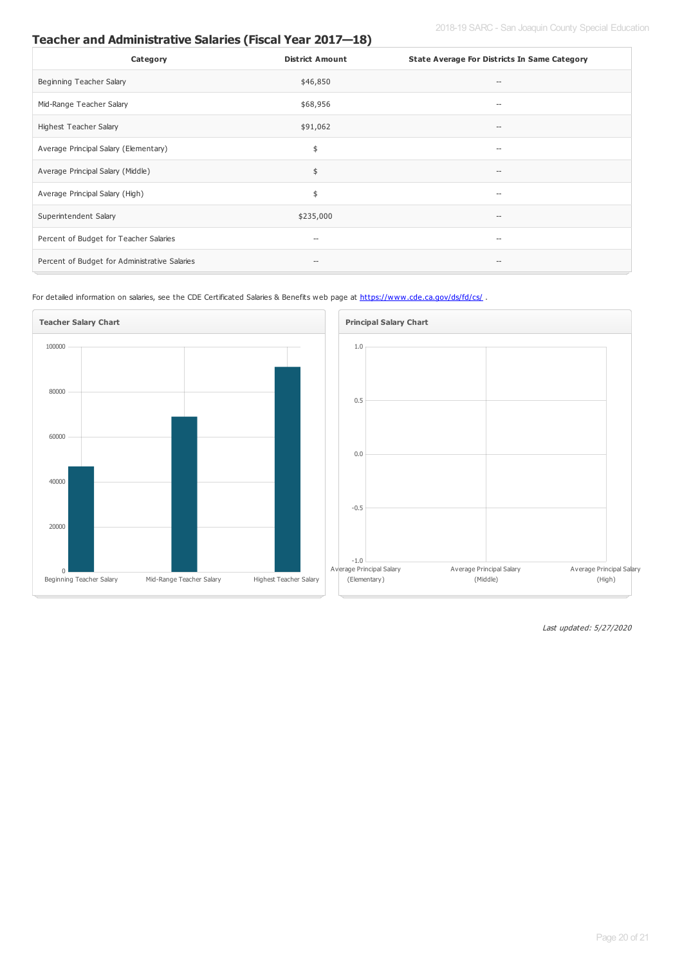## **Teacher and Administrative Salaries (Fiscal Year 2017—18)**

| Category                                      | <b>District Amount</b>   | <b>State Average For Districts In Same Category</b> |
|-----------------------------------------------|--------------------------|-----------------------------------------------------|
| Beginning Teacher Salary                      | \$46,850                 | $\hspace{0.05cm}$ –                                 |
| Mid-Range Teacher Salary                      | \$68,956                 | $\overline{\phantom{a}}$                            |
| Highest Teacher Salary                        | \$91,062                 | $\overline{\phantom{a}}$                            |
| Average Principal Salary (Elementary)         | \$                       | $\overline{\phantom{a}}$                            |
| Average Principal Salary (Middle)             | \$                       | $\hspace{0.05cm}$ –                                 |
| Average Principal Salary (High)               | \$                       | $\hspace{0.05cm}$                                   |
| Superintendent Salary                         | \$235,000                | $\hspace{0.05cm} \ldots$                            |
| Percent of Budget for Teacher Salaries        | $\overline{\phantom{a}}$ | $\hspace{0.05cm}$                                   |
| Percent of Budget for Administrative Salaries | $- -$                    | $\hspace{0.05cm}$ –                                 |

For detailed information on salaries, see the CDE Certificated Salaries & Benefits web page at <https://www.cde.ca.gov/ds/fd/cs/>.